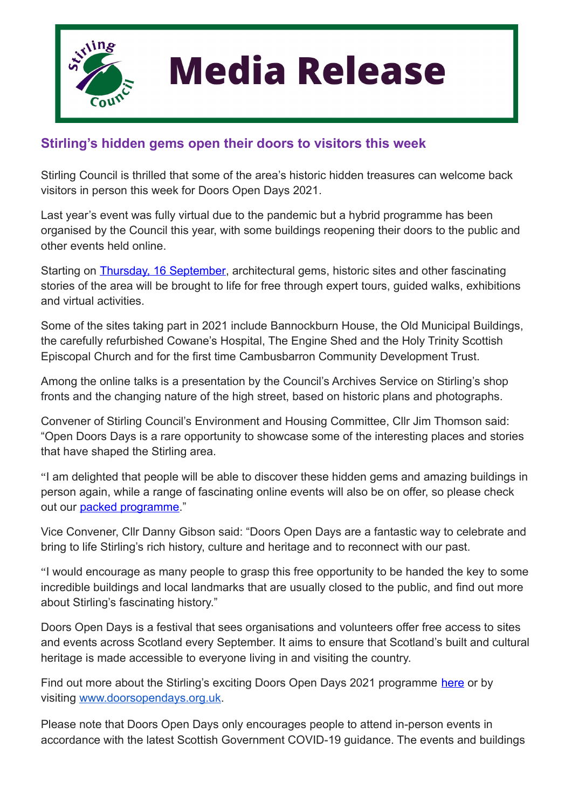

## **Media Release**

## **Stirling's hidden gems open their doors to visitors this week**

Stirling Council is thrilled that some of the area's historic hidden treasures can welcome back visitors in person this week for Doors Open Days 2021.

Last year's event was fully virtual due to the pandemic but a hybrid programme has been organised by the Council this year, with some buildings reopening their doors to the public and other events held online.

Starting on [Thursday, 16 September](https://stirling.gov.uk/events/), architectural gems, historic sites and other fascinating stories of the area will be brought to life for free through expert tours, guided walks, exhibitions and virtual activities.

Some of the sites taking part in 2021 include Bannockburn House, the Old Municipal Buildings, the carefully refurbished Cowane's Hospital, The Engine Shed and the Holy Trinity Scottish Episcopal Church and for the first time Cambusbarron Community Development Trust.

Among the online talks is a presentation by the Council's Archives Service on Stirling's shop fronts and the changing nature of the high street, based on historic plans and photographs.

Convener of Stirling Council's Environment and Housing Committee, Cllr Jim Thomson said: "Open Doors Days is a rare opportunity to showcase some of the interesting places and stories that have shaped the Stirling area.

"I am delighted that people will be able to discover these hidden gems and amazing buildings in person again, while a range of fascinating online events will also be on offer, so please check out our [packed programme.](https://stirling.gov.uk/events/)"

Vice Convener, Cllr Danny Gibson said: "Doors Open Days are a fantastic way to celebrate and bring to life Stirling's rich history, culture and heritage and to reconnect with our past.

"I would encourage as many people to grasp this free opportunity to be handed the key to some incredible buildings and local landmarks that are usually closed to the public, and find out more about Stirling's fascinating history."

Doors Open Days is a festival that sees organisations and volunteers offer free access to sites and events across Scotland every September. It aims to ensure that Scotland's built and cultural heritage is made accessible to everyone living in and visiting the country.

Find out more about the Stirling's exciting Doors Open Days 2021 programme [here](https://stirling.gov.uk/events/) or by visiting [www.doorsopendays.org.uk](http://www.doorsopendays.org.uk/).

Please note that Doors Open Days only encourages people to attend in-person events in accordance with the latest Scottish Government COVID-19 guidance. The events and buildings